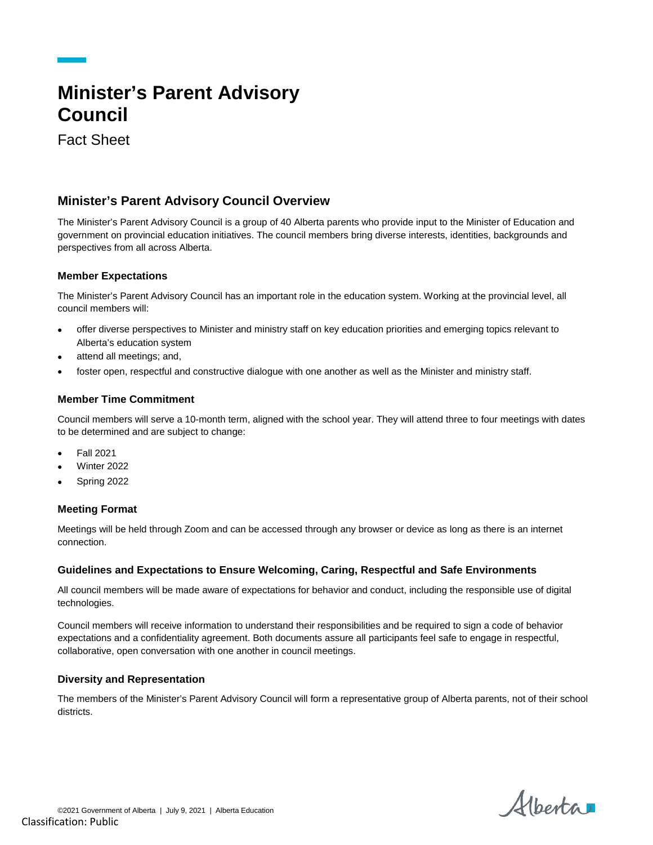# **Minister's Parent Advisory Council**

Fact Sheet

# **Minister's Parent Advisory Council Overview**

The Minister's Parent Advisory Council is a group of 40 Alberta parents who provide input to the Minister of Education and government on provincial education initiatives. The council members bring diverse interests, identities, backgrounds and perspectives from all across Alberta.

# **Member Expectations**

The Minister's Parent Advisory Council has an important role in the education system. Working at the provincial level, all council members will:

- offer diverse perspectives to Minister and ministry staff on key education priorities and emerging topics relevant to Alberta's education system
- attend all meetings; and,
- foster open, respectful and constructive dialogue with one another as well as the Minister and ministry staff.

# **Member Time Commitment**

Council members will serve a 10-month term, aligned with the school year. They will attend three to four meetings with dates to be determined and are subject to change:

- Fall 2021
- Winter 2022
- Spring 2022

### **Meeting Format**

Meetings will be held through Zoom and can be accessed through any browser or device as long as there is an internet connection.

# **Guidelines and Expectations to Ensure Welcoming, Caring, Respectful and Safe Environments**

All council members will be made aware of expectations for behavior and conduct, including the responsible use of digital technologies.

Council members will receive information to understand their responsibilities and be required to sign a code of behavior expectations and a confidentiality agreement. Both documents assure all participants feel safe to engage in respectful, collaborative, open conversation with one another in council meetings.

### **Diversity and Representation**

The members of the Minister's Parent Advisory Council will form a representative group of Alberta parents, not of their school districts.

Alberta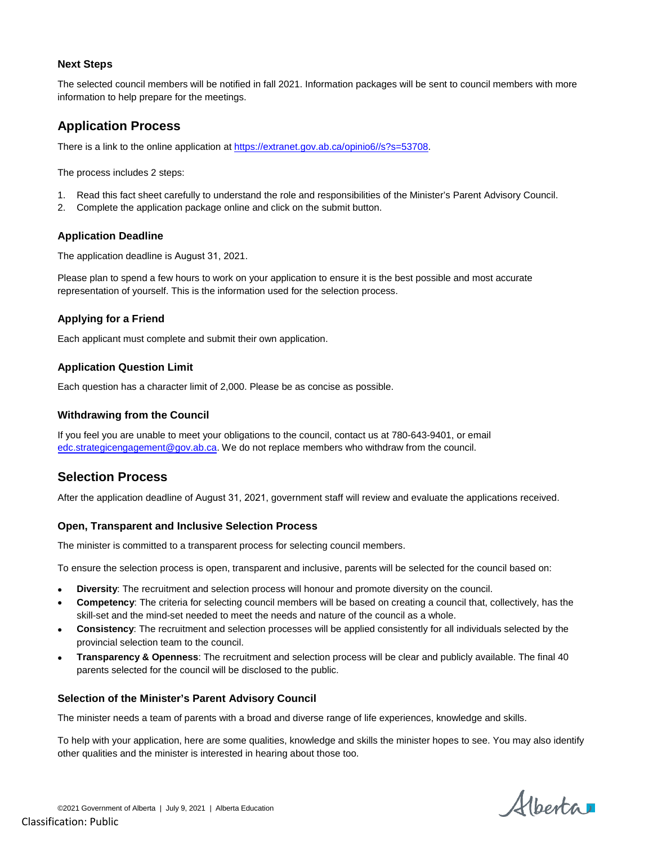# **Next Steps**

The selected council members will be notified in fall 2021. Information packages will be sent to council members with more information to help prepare for the meetings.

# **Application Process**

There is a link to the online application at [https://extranet.gov.ab.ca/opinio6//s?s=53708.](https://extranet.gov.ab.ca/opinio6/s?s=53708)

The process includes 2 steps:

- 1. Read this fact sheet carefully to understand the role and responsibilities of the Minister's Parent Advisory Council.
- 2. Complete the application package online and click on the submit button.

# **Application Deadline**

The application deadline is August 31, 2021.

Please plan to spend a few hours to work on your application to ensure it is the best possible and most accurate representation of yourself. This is the information used for the selection process.

# **Applying for a Friend**

Each applicant must complete and submit their own application.

# **Application Question Limit**

Each question has a character limit of 2,000. Please be as concise as possible.

# **Withdrawing from the Council**

If you feel you are unable to meet your obligations to the council, contact us at 780-643-9401, or email [edc.strategicengagement@gov.ab.ca.](mailto:edc.strategicengagement@gov.ab.ca?subject=Minister) We do not replace members who withdraw from the council.

# **Selection Process**

After the application deadline of August 31, 2021, government staff will review and evaluate the applications received.

### **Open, Transparent and Inclusive Selection Process**

The minister is committed to a transparent process for selecting council members.

To ensure the selection process is open, transparent and inclusive, parents will be selected for the council based on:

- **Diversity**: The recruitment and selection process will honour and promote diversity on the council.
- **Competency**: The criteria for selecting council members will be based on creating a council that, collectively, has the skill-set and the mind-set needed to meet the needs and nature of the council as a whole.
- **Consistency**: The recruitment and selection processes will be applied consistently for all individuals selected by the provincial selection team to the council.
- **Transparency & Openness**: The recruitment and selection process will be clear and publicly available. The final 40 parents selected for the council will be disclosed to the public.

### **Selection of the Minister's Parent Advisory Council**

The minister needs a team of parents with a broad and diverse range of life experiences, knowledge and skills.

To help with your application, here are some qualities, knowledge and skills the minister hopes to see. You may also identify other qualities and the minister is interested in hearing about those too.

Albertar